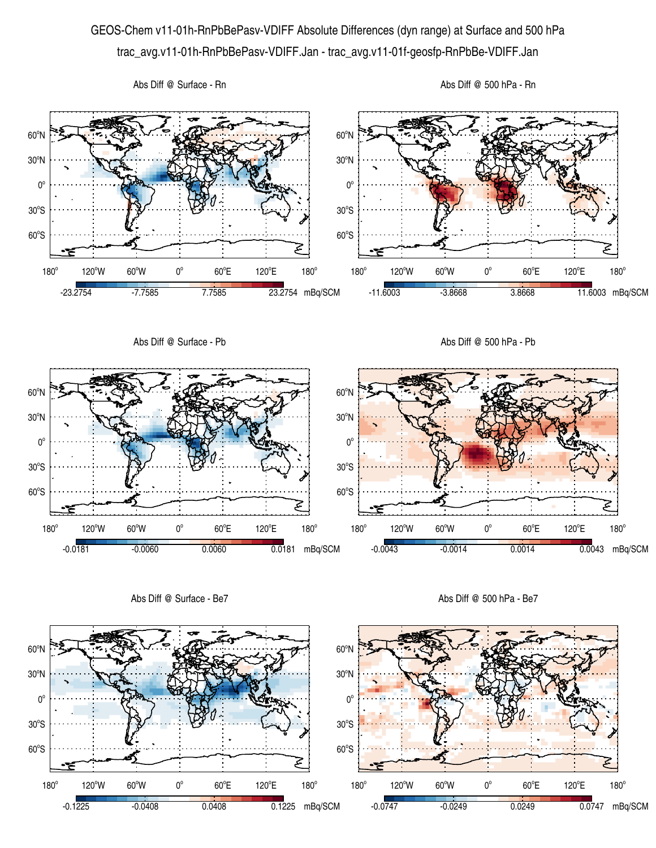## GEOS-Chem v11-01h-RnPbBePasv-VDIFF Absolute Differences (dyn range) at Surface and 500 hPa trac\_avg.v11-01h-RnPbBePasv-VDIFF.Jan - trac\_avg.v11-01f-geosfp-RnPbBe-VDIFF.Jan



Abs Diff @ Surface - Be7

Abs Diff @ 500 hPa - Be7